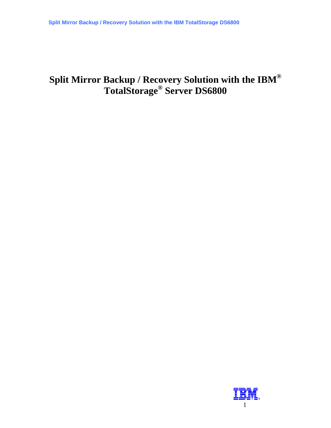# **Split Mirror Backup / Recovery Solution with the IBM® TotalStorage® Server DS6800**

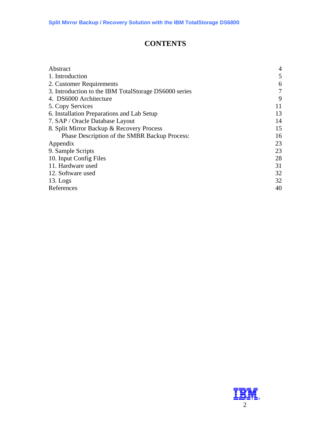## **CONTENTS**

| Abstract                                              | $\overline{4}$ |
|-------------------------------------------------------|----------------|
| 1. Introduction                                       | 5              |
| 2. Customer Requirements                              | 6              |
| 3. Introduction to the IBM TotalStorage DS6000 series | 7              |
| 4. DS6000 Architecture                                | 9              |
| 5. Copy Services                                      | 11             |
| 6. Installation Preparations and Lab Setup            | 13             |
| 7. SAP / Oracle Database Layout                       | 14             |
| 8. Split Mirror Backup & Recovery Process             | 15             |
| Phase Description of the SMBR Backup Process:         | 16             |
| Appendix                                              | 23             |
| 9. Sample Scripts                                     | 23             |
| 10. Input Config Files                                | 28             |
| 11. Hardware used                                     | 31             |
| 12. Software used                                     | 32             |
| $13.$ Logs                                            | 32             |
| References                                            | 40             |
|                                                       |                |

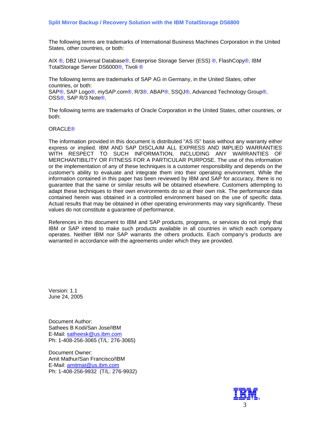The following terms are trademarks of International Business Machines Corporation in the United States, other countries, or both:

AIX ®, DB2 Universal Database®, Enterprise Storage Server (ESS) ®, FlashCopy®, IBM TotalStorage Server DS6000<sup>®</sup>, Tivoli<sup>®</sup>

The following terms are trademarks of SAP AG in Germany, in the United States, other countries, or both: SAP®, SAP Logo®, mySAP.com®, R/3®, ABAP®, SSQJ®, Advanced Technology Group®, OSS®, SAP R/3 Note®,

The following terms are trademarks of Oracle Corporation in the United States, other countries, or both:

#### ORACLE®

The information provided in this document is distributed "AS IS" basis without any warranty either express or implied. IBM AND SAP DISCLAIM ALL EXPRESS AND IMPLIED WARRANTIES WITH RESPECT TO SUCH INFORMATION, INCLUDING ANY WARRANTIES OF MERCHANTIBILITY OR FITNESS FOR A PARTICULAR PURPOSE. The use of this information or the implementation of any of these techniques is a customer responsibility and depends on the customer's ability to evaluate and integrate them into their operating environment. While the information contained in this paper has been reviewed by IBM and SAP for accuracy, there is no guarantee that the same or similar results will be obtained elsewhere. Customers attempting to adapt these techniques to their own environments do so at their own risk. The performance data contained herein was obtained in a controlled environment based on the use of specific data. Actual results that may be obtained in other operating environments may vary significantly. These values do not constitute a guarantee of performance.

References in this document to IBM and SAP products, programs, or services do not imply that IBM or SAP intend to make such products available in all countries in which each company operates. Neither IBM nor SAP warrants the others products. Each company's products are warranted in accordance with the agreements under which they are provided.

Version: 1.1 June 24, 2005

Document Author: Sathees B Kodi/San Jose/IBM E-Mail: [satheesk@us.ibm.com](mailto:satheesk@us.ibm.com) Ph: 1-408-256-3065 (T/L: 276-3065)

Document Owner: Amit Mathur/San Francisco/IBM E-Mail: [amitmat@us.ibm.com](mailto:amitmat@us.ibm.com) Ph: 1-408-256-9932 (T/L: 276-9932)

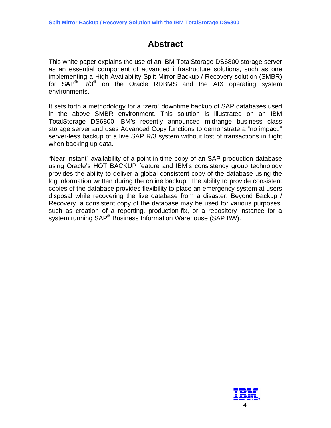# **Abstract**

<span id="page-3-0"></span>This white paper explains the use of an IBM TotalStorage DS6800 storage server as an essential component of advanced infrastructure solutions, such as one implementing a High Availability Split Mirror Backup / Recovery solution (SMBR) for  $SAP^{\circledR}$  R/3<sup>®</sup> on the Oracle RDBMS and the AIX operating system environments.

It sets forth a methodology for a "zero" downtime backup of SAP databases used in the above SMBR environment. This solution is illustrated on an IBM TotalStorage DS6800 IBM's recently announced midrange business class storage server and uses Advanced Copy functions to demonstrate a "no impact," server-less backup of a live SAP R/3 system without lost of transactions in flight when backing up data.

"Near Instant" availability of a point-in-time copy of an SAP production database using Oracle's HOT BACKUP feature and IBM's consistency group technology provides the ability to deliver a global consistent copy of the database using the log information written during the online backup. The ability to provide consistent copies of the database provides flexibility to place an emergency system at users disposal while recovering the live database from a disaster. Beyond Backup / Recovery, a consistent copy of the database may be used for various purposes, such as creation of a reporting, production-fix, or a repository instance for a system running SAP® Business Information Warehouse (SAP BW).

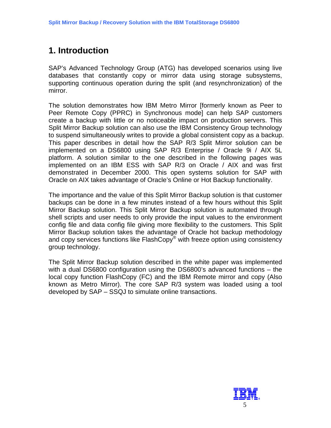# <span id="page-4-0"></span>**1. Introduction**

SAP's Advanced Technology Group (ATG) has developed scenarios using live databases that constantly copy or mirror data using storage subsystems, supporting continuous operation during the split (and resynchronization) of the mirror.

The solution demonstrates how IBM Metro Mirror [formerly known as Peer to Peer Remote Copy (PPRC) in Synchronous mode] can help SAP customers create a backup with little or no noticeable impact on production servers. This Split Mirror Backup solution can also use the IBM Consistency Group technology to suspend simultaneously writes to provide a global consistent copy as a backup. This paper describes in detail how the SAP R/3 Split Mirror solution can be implemented on a DS6800 using SAP R/3 Enterprise / Oracle 9i / AIX 5L platform. A solution similar to the one described in the following pages was implemented on an IBM ESS with SAP R/3 on Oracle / AIX and was first demonstrated in December 2000. This open systems solution for SAP with Oracle on AIX takes advantage of Oracle's Online or Hot Backup functionality.

The importance and the value of this Split Mirror Backup solution is that customer backups can be done in a few minutes instead of a few hours without this Split Mirror Backup solution. This Split Mirror Backup solution is automated through shell scripts and user needs to only provide the input values to the environment config file and data config file giving more flexibility to the customers. This Split Mirror Backup solution takes the advantage of Oracle hot backup methodology and copy services functions like FlashCopy<sup>®</sup> with freeze option using consistency group technology.

The Split Mirror Backup solution described in the white paper was implemented with a dual DS6800 configuration using the DS6800's advanced functions – the local copy function FlashCopy (FC) and the IBM Remote mirror and copy (Also known as Metro Mirror). The core SAP R/3 system was loaded using a tool developed by SAP – SSQJ to simulate online transactions.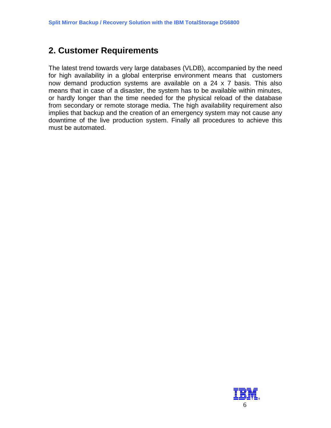## <span id="page-5-0"></span>**2. Customer Requirements**

The latest trend towards very large databases (VLDB), accompanied by the need for high availability in a global enterprise environment means that customers now demand production systems are available on a 24 x 7 basis. This also means that in case of a disaster, the system has to be available within minutes, or hardly longer than the time needed for the physical reload of the database from secondary or remote storage media. The high availability requirement also implies that backup and the creation of an emergency system may not cause any downtime of the live production system. Finally all procedures to achieve this must be automated.

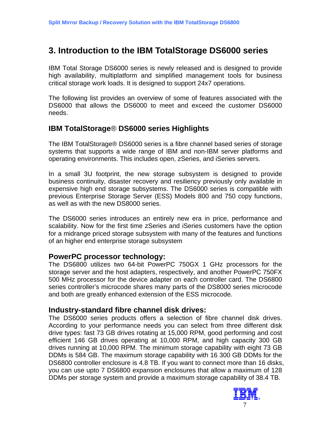## <span id="page-6-0"></span>**3. Introduction to the IBM TotalStorage DS6000 series**

IBM Total Storage DS6000 series is newly released and is designed to provide high availability, multiplatform and simplified management tools for business critical storage work loads. It is designed to support 24x7 operations.

The following list provides an overview of some of features associated with the DS6000 that allows the DS6000 to meet and exceed the customer DS6000 needs.

## **IBM TotalStorage**® **DS6000 series Highlights**

The IBM TotalStorage® DS6000 series is a fibre channel based series of storage systems that supports a wide range of IBM and non-IBM server platforms and operating environments. This includes open, zSeries, and iSeries servers.

In a small 3U footprint, the new storage subsystem is designed to provide business continuity, disaster recovery and resiliency previously only available in expensive high end storage subsystems. The DS6000 series is compatible with previous Enterprise Storage Server (ESS) Models 800 and 750 copy functions, as well as with the new DS8000 series.

The DS6000 series introduces an entirely new era in price, performance and scalability. Now for the first time zSeries and iSeries customers have the option for a midrange priced storage subsystem with many of the features and functions of an higher end enterprise storage subsystem

## **PowerPC processor technology:**

The DS6800 utilizes two 64-bit PowerPC 750GX 1 GHz processors for the storage server and the host adapters, respectively, and another PowerPC 750FX 500 MHz processor for the device adapter on each controller card. The DS6800 series controller's microcode shares many parts of the DS8000 series microcode and both are greatly enhanced extension of the ESS microcode.

## **Industry-standard fibre channel disk drives:**

The DS6000 series products offers a selection of fibre channel disk drives. According to your performance needs you can select from three different disk drive types: fast 73 GB drives rotating at 15,000 RPM, good performing and cost efficient 146 GB drives operating at 10,000 RPM, and high capacity 300 GB drives running at 10,000 RPM. The minimum storage capability with eight 73 GB DDMs is 584 GB. The maximum storage capability with 16 300 GB DDMs for the DS6800 controller enclosure is 4.8 TB. If you want to connect more than 16 disks, you can use upto 7 DS6800 expansion enclosures that allow a maximum of 128 DDMs per storage system and provide a maximum storage capability of 38.4 TB.

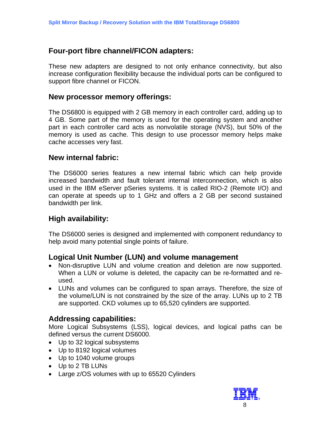## **Four-port fibre channel/FICON adapters:**

These new adapters are designed to not only enhance connectivity, but also increase configuration flexibility because the individual ports can be configured to support fibre channel or FICON.

### **New processor memory offerings:**

The DS6800 is equipped with 2 GB memory in each controller card, adding up to 4 GB. Some part of the memory is used for the operating system and another part in each controller card acts as nonvolatile storage (NVS), but 50% of the memory is used as cache. This design to use processor memory helps make cache accesses very fast.

## **New internal fabric:**

The DS6000 series features a new internal fabric which can help provide increased bandwidth and fault tolerant internal interconnection, which is also used in the IBM eServer pSeries systems. It is called RIO-2 (Remote I/O) and can operate at speeds up to 1 GHz and offers a 2 GB per second sustained bandwidth per link.

## **High availability:**

The DS6000 series is designed and implemented with component redundancy to help avoid many potential single points of failure.

## **Logical Unit Number (LUN) and volume management**

- Non-disruptive LUN and volume creation and deletion are now supported. When a LUN or volume is deleted, the capacity can be re-formatted and reused.
- LUNs and volumes can be configured to span arrays. Therefore, the size of the volume/LUN is not constrained by the size of the array. LUNs up to 2 TB are supported. CKD volumes up to 65,520 cylinders are supported.

## **Addressing capabilities:**

More Logical Subsystems (LSS), logical devices, and logical paths can be defined versus the current DS6000.

- Up to 32 logical subsystems
- Up to 8192 logical volumes
- Up to 1040 volume groups
- Up to 2 TB LUNs
- Large z/OS volumes with up to 65520 Cylinders

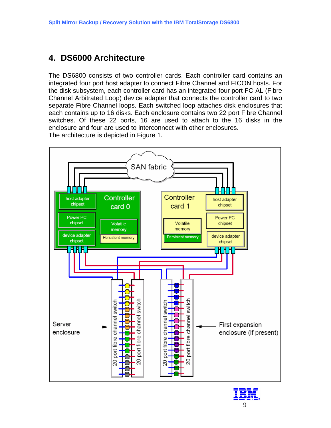# <span id="page-8-0"></span>**4. DS6000 Architecture**

The DS6800 consists of two controller cards. Each controller card contains an integrated four port host adapter to connect Fibre Channel and FICON hosts. For the disk subsystem, each controller card has an integrated four port FC-AL (Fibre Channel Arbitrated Loop) device adapter that connects the controller card to two separate Fibre Channel loops. Each switched loop attaches disk enclosures that each contains up to 16 disks. Each enclosure contains two 22 port Fibre Channel switches. Of these 22 ports, 16 are used to attach to the 16 disks in the enclosure and four are used to interconnect with other enclosures. The architecture is depicted in Figure 1.



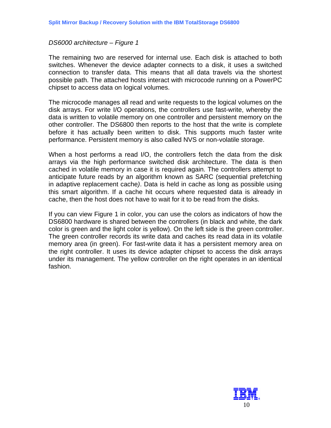#### *DS6000 architecture – Figure 1*

The remaining two are reserved for internal use. Each disk is attached to both switches. Whenever the device adapter connects to a disk, it uses a switched connection to transfer data. This means that all data travels via the shortest possible path. The attached hosts interact with microcode running on a PowerPC chipset to access data on logical volumes.

The microcode manages all read and write requests to the logical volumes on the disk arrays. For write I/O operations, the controllers use fast-write, whereby the data is written to volatile memory on one controller and persistent memory on the other controller. The DS6800 then reports to the host that the write is complete before it has actually been written to disk. This supports much faster write performance. Persistent memory is also called NVS or non-volatile storage.

When a host performs a read I/O, the controllers fetch the data from the disk arrays via the high performance switched disk architecture. The data is then cached in volatile memory in case it is required again. The controllers attempt to anticipate future reads by an algorithm known as SARC (sequential prefetching in adaptive replacement cache*)*. Data is held in cache as long as possible using this smart algorithm. If a cache hit occurs where requested data is already in cache, then the host does not have to wait for it to be read from the disks.

If you can view Figure 1 in color, you can use the colors as indicators of how the DS6800 hardware is shared between the controllers (in black and white, the dark color is green and the light color is yellow). On the left side is the green controller. The green controller records its write data and caches its read data in its volatile memory area (in green). For fast-write data it has a persistent memory area on the right controller. It uses its device adapter chipset to access the disk arrays under its management. The yellow controller on the right operates in an identical fashion.

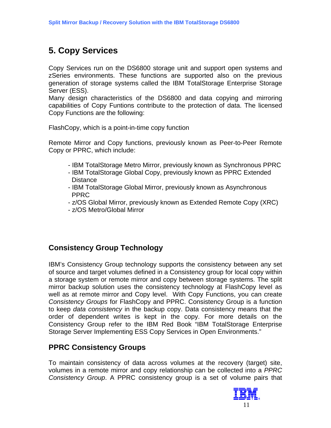# <span id="page-10-0"></span>**5. Copy Services**

Copy Services run on the DS6800 storage unit and support open systems and zSeries environments. These functions are supported also on the previous generation of storage systems called the IBM TotalStorage Enterprise Storage Server (ESS).

Many design characteristics of the DS6800 and data copying and mirroring capabilities of Copy Funtions contribute to the protection of data. The licensed Copy Functions are the following:

FlashCopy, which is a point-in-time copy function

Remote Mirror and Copy functions, previously known as Peer-to-Peer Remote Copy or PPRC, which include:

- IBM TotalStorage Metro Mirror, previously known as Synchronous PPRC
- IBM TotalStorage Global Copy, previously known as PPRC Extended **Distance**
- IBM TotalStorage Global Mirror, previously known as Asynchronous PPRC
- z/OS Global Mirror, previously known as Extended Remote Copy (XRC)
- z/OS Metro/Global Mirror

## **Consistency Group Technology**

IBM's Consistency Group technology supports the consistency between any set of source and target volumes defined in a Consistency group for local copy within a storage system or remote mirror and copy between storage systems. The split mirror backup solution uses the consistency technology at FlashCopy level as well as at remote mirror and Copy level. With Copy Functions, you can create *Consistency Groups* for FlashCopy and PPRC. Consistency Group is a function to keep *data consistency* in the backup copy. Data consistency means that the order of dependent writes is kept in the copy. For more details on the Consistency Group refer to the IBM Red Book "IBM TotalStorage Enterprise Storage Server Implementing ESS Copy Services in Open Environments."

## **PPRC Consistency Groups**

To maintain consistency of data across volumes at the recovery (target) site, volumes in a remote mirror and copy relationship can be collected into a *PPRC Consistency Group*. A PPRC consistency group is a set of volume pairs that

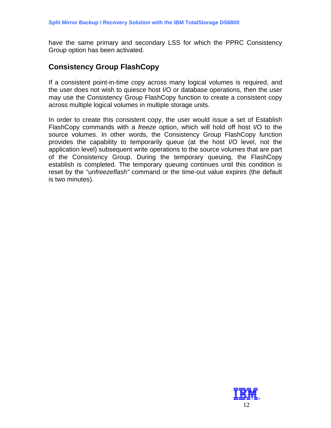have the same primary and secondary LSS for which the PPRC Consistency Group option has been activated.

## **Consistency Group FlashCopy**

If a consistent point-in-time copy across many logical volumes is required, and the user does not wish to quiesce host I/O or database operations, then the user may use the Consistency Group FlashCopy function to create a consistent copy across multiple logical volumes in multiple storage units.

In order to create this consistent copy, the user would issue a set of Establish FlashCopy commands with a *freeze* option, which will hold off host I/O to the source volumes. In other words, the Consistency Group FlashCopy function provides the capability to temporarily queue (at the host I/O level, not the application level) subsequent write operations to the source volumes that are part of the Consistency Group. During the temporary queuing, the FlashCopy establish is completed. The temporary queuing continues until this condition is reset by the "u*nfreezeflash"* command or the time-out value expires (the default is two minutes).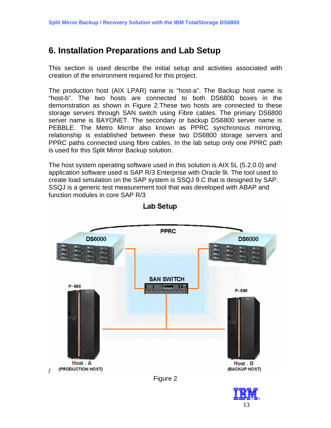# <span id="page-12-0"></span>**6. Installation Preparations and Lab Setup**

This section is used describe the initial setup and activities associated with creation of the environment required for this project.

The production host (AIX LPAR) name is "host-a". The Backup host name is "host-b". The two hosts are connected to both DS6800 boxes in the demonstration as shown in Figure 2.These two hosts are connected to these storage servers through SAN switch using Fibre cables. The primary DS6800 server name is BAYONET. The secondary or backup DS6800 server name is PEBBLE. The Metro Mirror also known as PPRC synchronous mirroring, relationship is established between these two DS6800 storage servers and PPRC paths connected using fibre cables. In the lab setup only one PPRC path is used for this Split Mirror Backup solution.

The host system operating software used in this solution is AIX 5L (5.2.0.0) and application software used is SAP R/3 Enterprise with Oracle 9i. The tool used to create load simulation on the SAP system is SSQJ 9.C that is designed by SAP. SSQJ is a generic test measurement tool that was developed with ABAP and function modules in core SAP R/3



### **Lab Setup**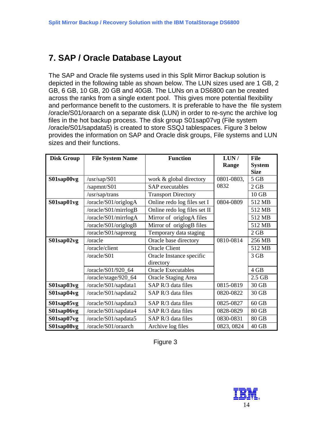# <span id="page-13-0"></span>**7. SAP / Oracle Database Layout**

The SAP and Oracle file systems used in this Split Mirror Backup solution is depicted in the following table as shown below. The LUN sizes used are 1 GB, 2 GB, 6 GB, 10 GB, 20 GB and 40GB. The LUNs on a DS6800 can be created across the ranks from a single extent pool. This gives more potential flexibility and performance benefit to the customers. It is preferable to have the file system /oracle/S01/oraarch on a separate disk (LUN) in order to re-sync the archive log files in the hot backup process. The disk group S01sap07vg (File system /oracle/S01/sapdata5) is created to store SSQJ tablespaces. Figure 3 below provides the information on SAP and Oracle disk groups, File systems and LUN sizes and their functions.

| <b>Disk Group</b> | <b>File System Name</b> | <b>Function</b>              | LUN/       | <b>File</b>   |
|-------------------|-------------------------|------------------------------|------------|---------------|
|                   |                         |                              | Range      | <b>System</b> |
|                   |                         |                              |            | <b>Size</b>   |
| S01sap00vg        | /usr/sap/S01            | work & global directory      | 0801-0803, | $5$ GB        |
|                   | /sapmnt/S01             | SAP executables              | 0832       | 2 GB          |
|                   | /usr/sap/trans          | <b>Transport Directory</b>   |            | $10$ GB       |
| S01sap01vg        | /oracle/S01/origlogA    | Online redo log files set I  | 0804-0809  | 512 MB        |
|                   | /oracle/S01/mirrlogB    | Online redo log files set II |            | 512 MB        |
|                   | /oracle/S01/mirrlogA    | Mirror of origlogA files     |            | 512 MB        |
|                   | /oracle/S01/origlogB    | Mirror of origlogB files     |            | 512 MB        |
|                   | /oracle/S01/sapreorg    | Temporary data staging       |            | 2 GB          |
| S01sap02vg        | /oracle                 | Oracle base directory        | 0810-0814  | 256 MB        |
|                   | /oracle/client          | <b>Oracle Client</b>         |            | 512 MB        |
|                   | /oracle/S01             | Oracle Instance specific     |            | 3 GB          |
|                   |                         | directory                    |            |               |
|                   | /oracle/S01/920_64      | <b>Oracle Executables</b>    |            | 4 GB          |
|                   | /oracle/stage/920_64    | <b>Oracle Staging Area</b>   |            | $2.5$ GB      |
| S01sap03vg        | /oracle/S01/sapdata1    | SAP R/3 data files           | 0815-0819  | 30 GB         |
| S01sap04vg        | /oracle/S01/sapdata2    | SAP R/3 data files           | 0820-0822  | 30 GB         |
| S01sap05vg        | /oracle/S01/sapdata3    | SAP R/3 data files           | 0825-0827  | $60$ GB       |
| S01sap06vg        | /oracle/S01/sapdata4    | SAP R/3 data files           | 0828-0829  | 80 GB         |
| S01sap07vg        | /oracle/S01/sapdata5    | SAP R/3 data files           | 0830-0831  | 80 GB         |
| S01sap08vg        | /oracle/S01/oraarch     | Archive log files            | 0823, 0824 | 40 GB         |

Figure 3

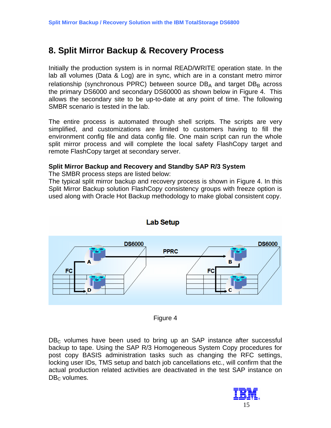# <span id="page-14-0"></span>**8. Split Mirror Backup & Recovery Process**

Initially the production system is in normal READ/WRITE operation state. In the lab all volumes (Data & Log) are in sync, which are in a constant metro mirror relationship (synchronous PPRC) between source  $DB_A$  and target  $DB_B$  across the primary DS6000 and secondary DS60000 as shown below in Figure 4. This allows the secondary site to be up-to-date at any point of time. The following SMBR scenario is tested in the lab.

The entire process is automated through shell scripts. The scripts are very simplified, and customizations are limited to customers having to fill the environment config file and data config file. One main script can run the whole split mirror process and will complete the local safety FlashCopy target and remote FlashCopy target at secondary server.

### **Split Mirror Backup and Recovery and Standby SAP R/3 System**

The SMBR process steps are listed below:

The typical split mirror backup and recovery process is shown in Figure 4. In this Split Mirror Backup solution FlashCopy consistency groups with freeze option is used along with Oracle Hot Backup methodology to make global consistent copy.



Figure 4

 $DB<sub>c</sub>$  volumes have been used to bring up an SAP instance after successful backup to tape. Using the SAP R/3 Homogeneous System Copy procedures for post copy BASIS administration tasks such as changing the RFC settings, locking user IDs, TMS setup and batch job cancellations etc., will confirm that the actual production related activities are deactivated in the test SAP instance on  $DB<sub>C</sub>$  volumes.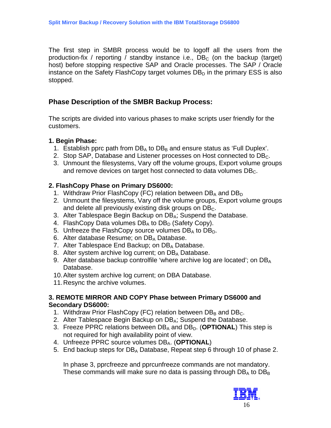<span id="page-15-0"></span>The first step in SMBR process would be to logoff all the users from the production-fix / reporting / standby instance i.e.,  $DB<sub>c</sub>$  (on the backup (target) host) before stopping respective SAP and Oracle processes. The SAP / Oracle instance on the Safety FlashCopy target volumes  $DB<sub>D</sub>$  in the primary ESS is also stopped.

## **Phase Description of the SMBR Backup Process:**

The scripts are divided into various phases to make scripts user friendly for the customers.

### **1. Begin Phase:**

- 1. Establish pprc path from  $DB_A$  to  $DB_B$  and ensure status as 'Full Duplex'.
- 2. Stop SAP, Database and Listener processes on Host connected to DB<sub>C</sub>.
- 3. Unmount the filesystems, Vary off the volume groups, Export volume groups and remove devices on target host connected to data volumes  $DB<sub>C</sub>$ .

## **2. FlashCopy Phase on Primary DS6000:**

- 1. Withdraw Prior FlashCopy (FC) relation between  $DB_A$  and  $DB_D$
- 2. Unmount the filesystems, Vary off the volume groups, Export volume groups and delete all previously existing disk groups on  $DB<sub>C</sub>$ .
- 3. Alter Tablespace Begin Backup on DB<sub>A</sub>; Suspend the Database.
- 4. FlashCopy Data volumes  $DB_A$  to  $DB_D$  (Safety Copy).
- 5. Unfreeze the FlashCopy source volumes  $DB_A$  to  $DB_D$ .
- 6. Alter database Resume; on  $DB_A$  Database.
- 7. Alter Tablespace End Backup; on DB<sub>A</sub> Database.
- 8. Alter system archive log current; on DB<sub>A</sub> Database.
- 9. Alter database backup controlfile 'where archive log are located'; on DB<sub>A</sub> Database.
- 10. Alter system archive log current; on DBA Database.
- 11. Resync the archive volumes.

### **3. REMOTE MIRROR AND COPY Phase between Primary DS6000 and Secondary DS6000:**

- 1. Withdraw Prior FlashCopy (FC) relation between  $DB_B$  and  $DB_C$ .
- 2. Alter Tablespace Begin Backup on DB<sub>A</sub>; Suspend the Database.
- 3. Freeze PPRC relations between DB<sub>A</sub> and DB<sub>D</sub>. (**OPTIONAL**) This step is not required for high availability point of view.
- 4. Unfreeze PPRC source volumes DBA. (**OPTIONAL**)
- 5. End backup steps for DB<sub>A</sub> Database, Repeat step 6 through 10 of phase 2.

In phase 3, pprcfreeze and pprcunfreeze commands are not mandatory. These commands will make sure no data is passing through  $DB_A$  to  $DB_B$ 

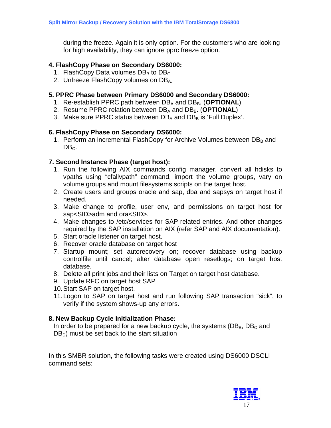during the freeze. Again it is only option. For the customers who are looking for high availability, they can ignore pprc freeze option.

### **4. FlashCopy Phase on Secondary DS6000:**

- 1. FlashCopy Data volumes  $DB_B$  to  $DB_C$ .
- 2. Unfreeze FlashCopy volumes on DB<sub>A</sub>.

## **5. PPRC Phase between Primary DS6000 and Secondary DS6000:**

- 1. Re-establish PPRC path between DB<sub>A</sub> and DB<sub>B</sub>. (**OPTIONAL**)
- 2. Resume PPRC relation between DB<sub>A</sub> and DB<sub>B</sub>. (**OPTIONAL**)
- 3. Make sure PPRC status between  $DB_A$  and  $DB_B$  is 'Full Duplex'.

## **6. FlashCopy Phase on Secondary DS6000:**

1. Perform an incremental FlashCopy for Archive Volumes between  $DB_B$  and  $DB<sub>C</sub>$ .

## **7. Second Instance Phase (target host):**

- 1. Run the following AIX commands config manager, convert all hdisks to vpaths using "cfallvpath" command, import the volume groups, vary on volume groups and mount filesystems scripts on the target host.
- 2. Create users and groups oracle and sap, dba and sapsys on target host if needed.
- 3. Make change to profile, user env, and permissions on target host for sap<SID>adm and ora<SID>.
- 4. Make changes to /etc/services for SAP-related entries. And other changes required by the SAP installation on AIX (refer SAP and AIX documentation).
- 5. Start oracle listener on target host.
- 6. Recover oracle database on target host
- 7. Startup mount; set autorecovery on; recover database using backup controlfile until cancel; alter database open resetlogs; on target host database.
- 8. Delete all print jobs and their lists on Target on target host database.
- 9. Update RFC on target host SAP
- 10. Start SAP on target host.
- 11. Logon to SAP on target host and run following SAP transaction "sick", to verify if the system shows-up any errors.

## **8. New Backup Cycle Initialization Phase:**

In order to be prepared for a new backup cycle, the systems ( $DB_B$ ,  $DB_C$  and  $DB<sub>D</sub>$ ) must be set back to the start situation

In this SMBR solution, the following tasks were created using DS6000 DSCLI command sets:

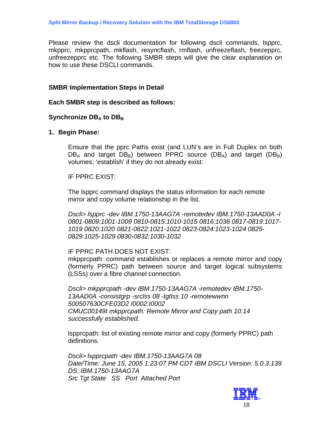Please review the dscli documentation for following dscli commands, lspprc, mkpprc, mkpprcpath, mkflash, resyncflash, rmflash, unfreezeflash, freezepprc, unfreezepprc etc. The following SMBR steps will give the clear explanation on how to use these DSCLI commands.

#### **SMBR Implementation Steps in Detail**

#### **Each SMBR step is described as follows:**

### **Synchronize DBA to DBB**

#### **1. Begin Phase:**

Ensure that the pprc Paths exist (and LUN's are in Full Duplex on both  $DB_A$  and target  $DB_B$ ) between PPRC source ( $DB_A$ ) and target ( $DB_B$ ) volumes; 'establish' if they do not already exist:

IF PPRC EXIST:

The lspprc command displays the status information for each remote mirror and copy volume relationship in the list.

*Dscli> lspprc -dev IBM.1750-13AAG7A -remotedev IBM.1750-13AAD0A -l 0801-0809:1001-1009 0810-0815:1010-1015 0816:1036 0817-0819:1017- 1019 0820:1020 0821-0822:1021-1022 0823-0824:1023-1024 0825- 0829:1025-1029 0830-0832:1030-1032*

#### IF PPRC PATH DOES NOT EXIST:

mkpprcpath: command establishes or replaces a remote mirror and copy (formerly PPRC) path between source and target logical subsystems (LSSs) over a fibre channel connection.

*Dscli> mkpprcpath -dev IBM.1750-13AAG7A -remotedev IBM.1750- 13AAD0A -consistgrp -srclss 08 -tgtlss 10 -remotewwnn 500507630CFE03D2 I0002:I0002 CMUC00149I mkpprcpath: Remote Mirror and Copy path 10:14 successfully established.* 

lspprcpath: list of existing remote mirror and copy (formerly PPRC) path definitions.

*Dscli> lspprcpath -dev IBM.1750-13AAG7A 08 Date/Time: June 15, 2005 1:23:07 PM CDT IBM DSCLI Version: 5.0.3.139 DS: IBM.1750-13AAG7A Src Tgt State SS Port Attached Port* 

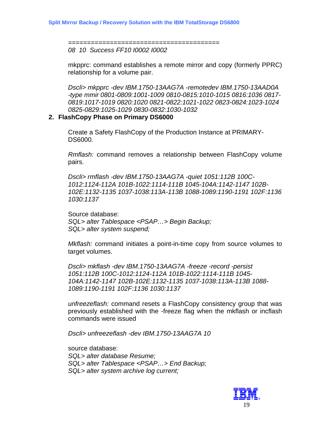*======================================== 08 10 Success FF10 I0002 I0002* 

mkpprc: command establishes a remote mirror and copy (formerly PPRC) relationship for a volume pair.

*Dscli> mkpprc -dev IBM.1750-13AAG7A -remotedev IBM.1750-13AAD0A -type mmir 0801-0809:1001-1009 0810-0815:1010-1015 0816:1036 0817- 0819:1017-1019 0820:1020 0821-0822:1021-1022 0823-0824:1023-1024 0825-0829:1025-1029 0830-0832:1030-1032*

#### **2. FlashCopy Phase on Primary DS6000**

Create a Safety FlashCopy of the Production Instance at PRIMARY-DS6000.

*Rmflash:* command removes a relationship between FlashCopy volume pairs.

*Dscli> rmflash -dev IBM.1750-13AAG7A -quiet 1051:112B 100C-1012:1124-112A 101B-1022:1114-111B 1045-104A:1142-1147 102B-102E:1132-1135 1037-1038:113A-113B 1088-1089:1190-1191 102F:1136 1030:1137* 

Source database: *SQL> alter Tablespace <PSAP…> Begin Backup; SQL> alter system suspend;* 

*Mkflash:* command initiates a point-in-time copy from source volumes to target volumes.

*Dscli> mkflash -dev IBM.1750-13AAG7A -freeze -record -persist 1051:112B 100C-1012:1124-112A 101B-1022:1114-111B 1045- 104A:1142-1147 102B-102E:1132-1135 1037-1038:113A-113B 1088- 1089:1190-1191 102F:1136 1030:1137* 

*unfreezeflash:* command resets a FlashCopy consistency group that was previously established with the -freeze flag when the mkflash or incflash commands were issued

*Dscli> unfreezeflash -dev IBM.1750-13AAG7A 10* 

source database: *SQL> alter database Resume; SQL> alter Tablespace <PSAP…> End Backup; SQL> alter system archive log current;* 

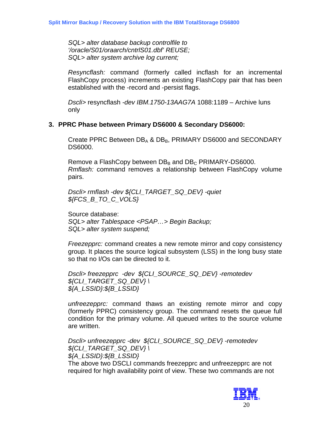*SQL> alter database backup controlfile to '/oracle/S01/oraarch/cntrlS01.dbf' REUSE; SQL> alter system archive log current;* 

*Resyncflash:* command (formerly called incflash for an incremental FlashCopy process) increments an existing FlashCopy pair that has been established with the -record and -persist flags.

*Dscli>* resyncflash *-dev IBM.1750-13AAG7A* 1088:1189 – Archive luns only

### **3. PPRC Phase between Primary DS6000 & Secondary DS6000:**

Create PPRC Between  $DB_A$  &  $DB_B$ , PRIMARY DS6000 and SECONDARY DS6000.

Remove a FlashCopy between  $DB_B$  and  $DB_C$  PRIMARY-DS6000. *Rmflash:* command removes a relationship between FlashCopy volume pairs.

*Dscli> rmflash -dev \${CLI\_TARGET\_SQ\_DEV} -quiet \${FCS\_B\_TO\_C\_VOLS}* 

Source database: *SQL> alter Tablespace <PSAP…> Begin Backup; SQL> alter system suspend;* 

*Freezepprc:* command creates a new remote mirror and copy consistency group. It places the source logical subsystem (LSS) in the long busy state so that no I/Os can be directed to it.

*Dscli> freezepprc -dev \${CLI\_SOURCE\_SQ\_DEV} -remotedev \${CLI\_TARGET\_SQ\_DEV} \ \${A\_LSSID}:\${B\_LSSID}* 

*unfreezepprc:* command thaws an existing remote mirror and copy (formerly PPRC) consistency group. The command resets the queue full condition for the primary volume. All queued writes to the source volume are written.

*Dscli> unfreezepprc -dev \${CLI\_SOURCE\_SQ\_DEV} -remotedev \${CLI\_TARGET\_SQ\_DEV} \ \${A\_LSSID}:\${B\_LSSID}*  The above two DSCLI commands freezepprc and unfreezepprc are not

required for high availability point of view. These two commands are not

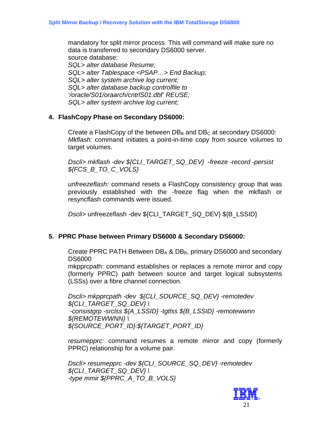mandatory for split mirror process. This will command will make sure no data is transferred to secondary DS6000 server. source database: *SQL> alter database Resume; SQL> alter Tablespace <PSAP…> End Backup; SQL> alter system archive log current; SQL> alter database backup controlfile to '/oracle/S01/oraarch/cntrlS01.dbf' REUSE; SQL> alter system archive log current;* 

### **4. FlashCopy Phase on Secondary DS6000:**

Create a FlashCopy of the between  $DB_B$  and  $DB_C$  at secondary DS6000: *Mkflash:* command initiates a point-in-time copy from source volumes to target volumes.

*Dscli> mkflash -dev \${CLI\_TARGET\_SQ\_DEV} -freeze -record -persist \${FCS\_B\_TO\_C\_VOLS}* 

*unfreezeflash:* command resets a FlashCopy consistency group that was previously established with the -freeze flag when the mkflash or resyncflash commands were issued.

*Dscli>* unfreezeflash -dev \${CLI\_TARGET\_SQ\_DEV} \${B\_LSSID}

### **5. PPRC Phase between Primary DS6000 & Secondary DS6000:**

Create PPRC PATH Between  $DB_A$  &  $DB_B$ , primary DS6000 and secondary DS6000

mkpprcpath: command establishes or replaces a remote mirror and copy (formerly PPRC) path between source and target logical subsystems (LSSs) over a fibre channel connection.

*Dscli> mkpprcpath -dev \${CLI\_SOURCE\_SQ\_DEV} -remotedev \${CLI\_TARGET\_SQ\_DEV} \ -consistgrp -srclss \${A\_LSSID} -tgtlss \${B\_LSSID} -remotewwnn \${REMOTEWWNN} \ \${SOURCE\_PORT\_ID}:\${TARGET\_PORT\_ID}* 

*resumepprc:* command resumes a remote mirror and copy (formerly PPRC) relationship for a volume pair.

*Dscli> resumepprc -dev \${CLI\_SOURCE\_SQ\_DEV} -remotedev \${CLI\_TARGET\_SQ\_DEV} \ -type mmir \${PPRC\_A\_TO\_B\_VOLS}* 

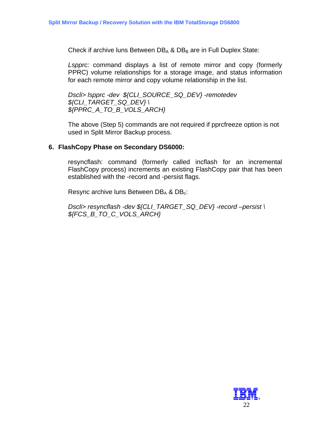Check if archive luns Between  $DB_A$  &  $DB_B$  are in Full Duplex State:

*Lspprc:* command displays a list of remote mirror and copy (formerly PPRC) volume relationships for a storage image, and status information for each remote mirror and copy volume relationship in the list.

*Dscli> lspprc -dev \${CLI\_SOURCE\_SQ\_DEV} -remotedev \${CLI\_TARGET\_SQ\_DEV} \ \${PPRC\_A\_TO\_B\_VOLS\_ARCH}* 

The above (Step 5) commands are not required if pprcfreeze option is not used in Split Mirror Backup process.

### **6. FlashCopy Phase on Secondary DS6000:**

resyncflash: command (formerly called incflash for an incremental FlashCopy process) increments an existing FlashCopy pair that has been established with the -record and -persist flags.

Resync archive luns Between  $DB_A$  &  $DB_c$ :

*Dscli> resyncflash -dev \${CLI\_TARGET\_SQ\_DEV} -record –persist \ \${FCS\_B\_TO\_C\_VOLS\_ARCH}* 

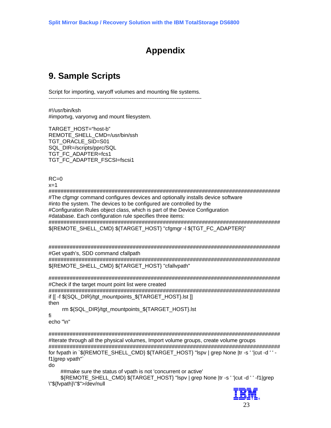# **Appendix**

# <span id="page-22-0"></span>**9. Sample Scripts**

Script for importing, varyoff volumes and mounting file systems. -------------------------------------------------------------------------------------

#!/usr/bin/ksh #importvg, varyonvg and mount filesystem.

TARGET\_HOST="host-b" REMOTE\_SHELL\_CMD=/usr/bin/ssh TGT\_ORACLE\_SID=S01 SQL\_DIR=/scripts/pprc/SQL TGT\_FC\_ADAPTER=fcs1 TGT\_FC\_ADAPTER\_FSCSI=fscsi1

 $RC=0$ 

 $x=1$ 

############################################################################# #The cfgmgr command configures devices and optionally installs device software #into the system. The devices to be configured are controlled by the #Configuration Rules object class, which is part of the Device Configuration #database. Each configuration rule specifies three items: ############################################################################# \${REMOTE\_SHELL\_CMD} \${TARGET\_HOST} "cfgmgr -l \${TGT\_FC\_ADAPTER}"

############################################################################# #Get vpath's, SDD command cfallpath

############################################################################# \${REMOTE\_SHELL\_CMD} \${TARGET\_HOST} "cfallvpath"

############################################################################# #Check if the target mount point list were created

############################################################################# if [[ -f \${SQL\_DIR}/tgt\_mountpoints\_\${TARGET\_HOST}.lst ]] then

rm \${SQL\_DIR}/tgt\_mountpoints\_\${TARGET\_HOST}.lst

fi

echo "\n"

############################################################################# #Iterate through all the physical volumes, Import volume groups, create volume groups ############################################################################# for fypath in `\${REMOTE\_SHELL\_CMD} \${TARGET\_HOST} "lspv | grep None |tr -s ' '|cut -d ' ' f1|grep vpath"`

do

##make sure the status of vpath is not 'concurrent or active'

 \${REMOTE\_SHELL\_CMD} \${TARGET\_HOST} "lspv | grep None |tr -s ' '|cut -d ' ' -f1|grep \"\${fvpath}\"\$">/dev/null

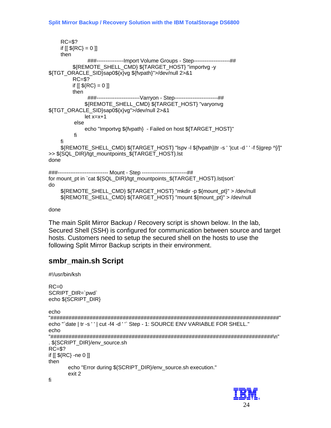```
RC = $?if [[ ${RC} = 0 ]]
    then
               ###---------------Import Volume Groups - Step--------------------##
         ${REMOTE_SHELL_CMD} ${TARGET_HOST} "importvg -y
${TGT_ORACLE_SID}sap0${x}vg ${fvpath}">/dev/null 2>&1
         RC = $?if [[\, \$ \{RC\} = 0 \, ]]then
               ###-----------------------Varryon - Step-----------------------##
              ${REMOTE_SHELL_CMD} ${TARGET_HOST} "varyonvg
${TGT ORACLE SID}sap0${x}vg">/dev/null 2>&1
              let x=x+1else
              echo "Importvg ${fvpath} - Failed on host ${TARGET HOST}"
         fi
    fi
    ${REMOTE SHELL CMD} ${TARGET HOST} "Ispv -I ${fvpath}|tr -s ' '|cut -d ' ' -f 5|grep ^[/]"
>> ${SQL_DIR}/tgt_mountpoints_${TARGET_HOST}.lst
done
###--------------------------- Mount - Step ------------------------##
for mount_pt in `cat ${SQL_DIR}/tgt_mountpoints_${TARGET_HOST}.lst|sort`
do
    ${REMOTE SHELL CMD} ${TARGET HOST} "mkdir -p ${mount pt}" > /dev/null
    ${REMOTE_SHELL_CMD} ${TARGET_HOST} "mount ${mount_pt}" > /dev/null
```
#### done

The main Split Mirror Backup / Recovery script is shown below. In the lab, Secured Shell (SSH) is configured for communication between source and target hosts. Customers need to setup the secured shell on the hosts to use the following Split Mirror Backup scripts in their environment.

## smbr\_main.sh Script

#!/usr/bin/ksh

```
RC=0SCRIPT DIR=`pwd`
echo ${SCRIPT DIR}
echo
echo "'date | tr -s ' ' | cut -f4 -d ' " Step - 1: SOURCE ENV VARIABLE FOR SHELL."
echo
. ${SCRIPT DIR}/env source.sh
RC = $?if [[ ${RC} -ne 0 ]]
then
    echo "Error during ${SCRIPT_DIR}/env_source.sh execution."
    exit 2
fi
```
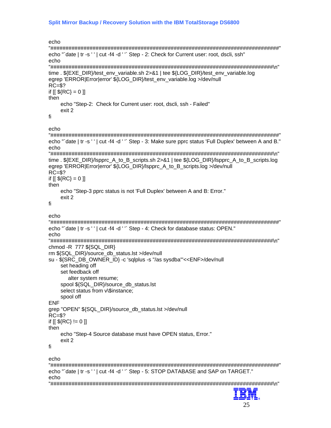```
echo
echo "`date | tr -s ' ' | cut -f4 -d ' '` Step - 2: Check for Current user: root, dscli, ssh"
echo
time . ${EXE DIR}/test env variable.sh 2>&1 | tee ${LOG DIR}/test env variable.log
egrep 'ERROR|Error|error' ${LOG DIR}/test env variable.log >/dev/null
RC = $?if [[\, \${RC}]=0 \, ]]then
   echo "Step-2: Check for Current user: root, dscli, ssh - Failed"
   exit 2
fi.
echo
echo "`date | tr -s ' ' | cut -f4 -d ' '` Step - 3: Make sure pprc status 'Full Duplex' between A and B."
echo
time. ${EXE_DIR}/lspprc_A_to_B_scripts.sh 2>&1 | tee ${LOG_DIR}/lspprc_A_to_B_scripts.log
egrep 'ERROR|Error|error' ${LOG_DIR}/lspprc_A_to_B_scripts.log >/dev/null
RC = $?if [[ ${RC} = 0 ]]
then
   echo "Step-3 pprc status is not 'Full Duplex' between A and B: Error."
   exit 2
fi
echo
echo "'date | tr -s ' ' | cut -f4 -d ' " Step - 4: Check for database status: OPEN."
echo
chmod -R 777 ${SQL_DIR}
rm ${SQL DIR}/source db status.lst >/dev/null
su - ${SRC_DB_OWNER_ID} -c 'sqlplus -s "/as sysdba"'<<ENF>/dev/null
   set heading off
   set feedback off
     alter system resume:
   spool ${SQL_DIR}/source_db_status.lst
   select status from v\$instance;
   spool off
ENF
grep "OPEN" ${SQL_DIR}/source_db_status.lst >/dev/null
RC = $?if [[ ${RC} != 0 ]]
then
   echo "Step-4 Source database must have OPEN status. Error."
   exit 2
fi
echo
echo "`date | tr -s ' ' | cut -f4 -d ' '` Step - 5: STOP DATABASE and SAP on TARGET."
echo
52
```
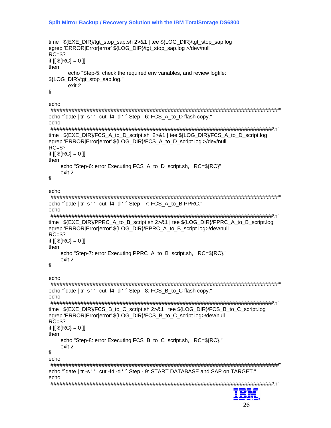```
time. ${EXE_DIR}/tgt_stop_sap.sh 2>&1 | tee ${LOG_DIR}/tgt_stop_sap.log
egrep 'ERROR|Error|error' ${LOG DIR}/tgt stop sap.log >/dev/null
RC = $?if [[ ${RC} = 0 ]]
then
     echo "Step-5: check the required env variables, and review logfile:
${LOG DIR}/tgt stop sap.log."
     exit 2
fi.
echo
echo "'date | tr -s ' ' | cut -f4 -d ' " Step - 6: FCS A to D flash copy."
echo
time ${EXE DIR}/FCS A to D script.sh 2>&1 | tee ${LOG DIR}/FCS A to D script.log
egrep 'ERROR|Error|error' ${LOG_DIR}/FCS_A_to_D_script.log >/dev/null
RC = $?if [[ ${RC} = 0 ]]
then
   echo "Step-6: error Executing FCS_A_to_D_script.sh, RC=${RC}"
   exit 2
fi
echo
echo "`date | tr -s ' ' | cut -f4 -d ' '` Step - 7: FCS A to B PPRC."
echotime . ${EXE DIR}/PPRC A to B script.sh 2>&1 | tee ${LOG DIR}/PPRC A to B script.log
egrep 'ERROR|Error|error' ${LOG_DIR}/PPRC_A_to_B_script.log>/dev/null
RC = $?if [[ ${RC} = 0 ]]
then
   echo "Step-7: error Executing PPRC_A_to_B_script.sh, RC=${RC}."
   exit 2
fi
echo
echo "'date | tr -s ' ' | cut -f4 -d ' " Step - 8: FCS_B_to_C flash copy."
echo
time. ${EXE_DIR}/FCS_B_to_C_script.sh 2>&1 | tee ${LOG_DIR}/FCS_B_to_C_script.log
egrep 'ERROR|Error|error' ${LOG_DIR}/FCS_B_to_C_script.log>/dev/null
RC = $?if [[ ${RC} = 0 ]]
then
   echo "Step-8: error Executing FCS B to C script.sh, RC=${RC}."
   exit 2
fi.
echo
echo "`date | tr -s ' ' | cut -f4 -d ' '` Step - 9: START DATABASE and SAP on TARGET."
echo
53 Z.E
```

```
26
```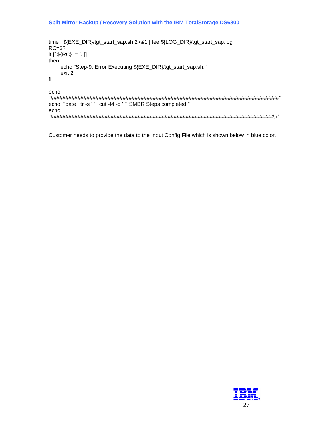#### Split Mirror Backup / Recovery Solution with the IBM TotalStorage DS6800

```
time. ${EXE_DIR}/tgt_start_sap.sh 2>&1 | tee ${LOG_DIR}/tgt_start_sap.log
RC = $?if [[\, \${RC}\} != 0\, ]]then
    echo "Step-9: Error Executing ${EXE_DIR}/tgt_start_sap.sh."
    exit 2
fi
echo
```
echo "'date | tr -s ' ' | cut -f4 -d ' " SMBR Steps completed." echo 

Customer needs to provide the data to the Input Config File which is shown below in blue color.

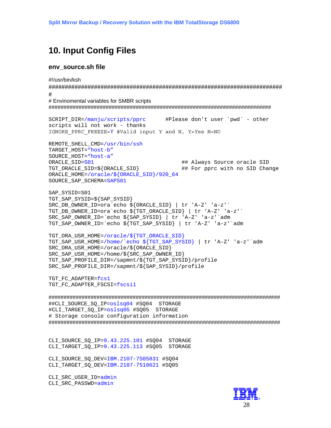## <span id="page-27-0"></span>**10. Input Config Files**

#### env\_source.sh file

#!/usr/bin/ksh

#

# Envinomental variables for SMBR scripts 

```
#Please don't user `pwd` - other
SCRIPT DIR=/manju/scripts/pprc
scripts will not work - thanks
IGNORE PPRC FREEZE=Y #Valid input Y and N, Y=Yes N=NO
REMOTE SHELL CMD=/usr/bin/ssh
TARGET HOST="host-b"
SOURCE HOST="host-a"
ORACLE_SID=S01
                                        ## Always Source oracle SID
TGT_ORACLE_SID=${ORACLE_SID}
                                       ## For pprc with no SID Change
ORACLE_HOME=/oracle/${ORACLE_SID}/920_64
SOURCE SAP SCHEMA=SAPS01
SAP SYSID=S01
TGT_SAP_SYSID=${SAP_SYSID}
SRC_DB_OWNER_ID=ora`echo${ORACLE_SID} | tr 'A-Z' 'a-z'`
```
TGT\_DB\_OWNER\_ID=ora`echo \${TGT\_ORACLE\_SID} | tr 'A-Z' 'a-z'` SRC\_SAP\_OWNER\_ID=`echo \${SAP\_SYSID} | tr 'A-Z' 'a-z'`adm TGT\_SAP\_OWNER\_ID=`echo \${TGT\_SAP\_SYSID} | tr 'A-Z' 'a-z'`adm

```
TGT_ORA_USR_HOME=/oracle/${TGT_ORACLE_SID}
TGT SAP USR HOME=/home/`echo ${TGT SAP SYSID} | tr 'A-Z' 'a-z'`adm
SRC ORA USR HOME=/oracle/${ORACLE SID}
SRC SAP USR HOME=/home/${SRC SAP OWNER ID}
TGT_SAP_PROFILE_DIR=/sapmnt/${TGT_SAP_SYSID}/profile
SRC SAP PROFILE DIR=/sapmnt/${SAP SYSID}/profile
```
TGT\_FC\_ADAPTER=fcs1 TGT\_FC\_ADAPTER\_FSCSI=fscsil

##CLI\_SOURCE\_SQ\_IP=oslsq04 #SQ04 STORAGE #CLI\_TARGET\_SQ\_IP=oslsq05 #SQ05 STORAGE # Storage console configuration information 

CLI SOURCE SO IP=9.43.225.101 #SO04 STORAGE CLI\_TARGET\_SQ\_IP=9.43.225.113 #SQ05 STORAGE

CLI\_SOURCE\_SQ\_DEV=IBM.2107-7505831 #SQ04 CLI TARGET SQ DEV=IBM.2107-7510621 #SQ05

CLI\_SRC\_USER\_ID=admin CLI SRC PASSWD=admin

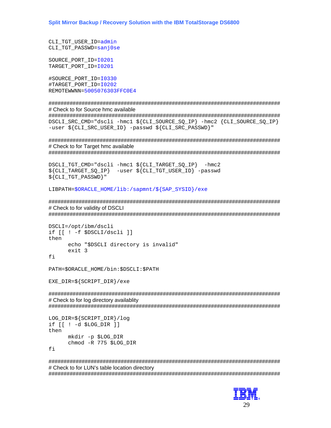```
CLI TGT USER ID=admin
CLI_TGT_PASSWD=sanj0se
```
SOURCE PORT ID=10201 TARGET PORT ID=10201

#SOURCE PORT ID=10330 #TARGET PORT ID=10202 REMOTEWWNN=5005076303FFC0E4

# Check to for Source hmc available

DSCLI\_SRC\_CMD="dscli -hmc1 \${CLI\_SOURCE\_SQ\_IP} -hmc2 {CLI\_SOURCE\_SQ\_IP} -user \${CLI\_SRC\_USER\_ID} -passwd \${CLI\_SRC\_PASSWD}"

# Check to for Target hmc available

DSCLI\_TGT\_CMD="dscli -hmc1 \${CLI\_TARGET\_SQ\_IP} -hmc2 \${CLI TARGET SQ IP} -user \${CLI TGT USER ID} -passwd  $${CLI}$  TGT PASSWD $}$ "

LIBPATH=\$ORACLE HOME/lib:/sapmnt/\${SAP SYSID}/exe

# Check to for validity of DSCLI 

```
DSCLI = /opt / ibm/dscliif [ ! - f $ DSCLI dscli ]then
      echo "$DSCLI directory is invalid"
      exit 3fi
```
PATH=\$ORACLE HOME/bin:\$DSCLI:\$PATH

EXE DIR=\${SCRIPT DIR}/exe

# Check to for log directory availablity

```
LOG_DIR = $ {SCRIPT_DIR} / logif [1 -d $LOG DIR ]then
      mkdir -p $LOG DIR
      chmod -R 775 $LOG DIR
fi
```
# Check to for LUN's table location directory 

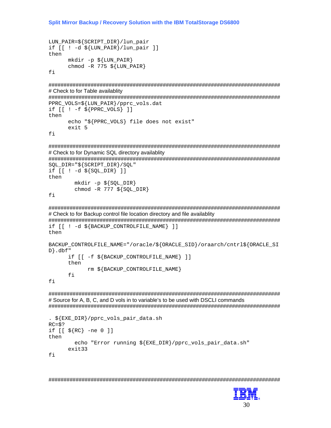Split Mirror Backup / Recovery Solution with the IBM TotalStorage DS6800

```
LUN_PAIR=${SCRIPT_DIR}/lun_pair
if [[ ! -d $ {LUN_PAIR } / lun_pair ] ]
then
      mkdir -p ${LUN_PAIR}
      chmod -R 775 ${LUN PAIR}
```
fi

# Check to for Table availablity

PPRC\_VOLS=\${LUN\_PAIR}/pprc\_vols.dat

```
if [ [ : -f ${PPRC_VOLS} ] ]then
      echo "${PPRC VOLS} file does not exist"
      exit 5
```
fi

# Check to for Dynamic SQL directory availablity

SQL DIR="\${SCRIPT DIR}/SQL"

```
if [1 -d \sin \theta]then
       mkdir -p \SOL_DIR}
       chmod -R 777 \S{SQL DIR}
```
fi

# Check to for Backup control file location directory and file availablity

if [[ ! -d \$ {BACKUP\_CONTROLFILE\_NAME } ] ]

then

```
BACKUP CONTROLFILE NAME="/oracle/${ORACLE SID}/oraarch/cntrl${ORACLE SI
D.dbf"
      if [[ -f $ {BACKUP CONTROLFILE NAME } ] ]
      then
            rm ${BACKUP CONTROLFILE NAME}
```
 $f_i$ 

fi

# Source for A, B, C, and D vols in to variable's to be used with DSCLI commands 

```
. ${EXE_DIR}/pprc_vols_pair_data.sh
RC = $?if [ [ $ {RC} \ -ne 0 ] ]then
        echo "Error running ${EXE DIR}/pprc vols pair data.sh"
      ext{33}fi
```
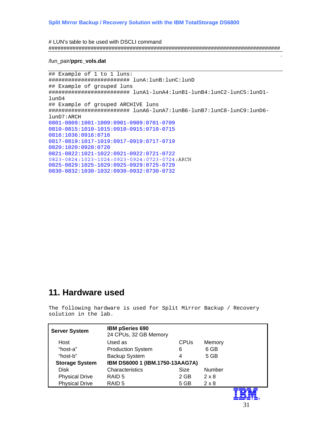#### <span id="page-30-0"></span># LUN's table to be used with DSCLI command #############################################################################

#### /lun\_pair/**pprc\_vols.dat**

## Example of 1 to 1 luns: ######################### lunA:lunB:lunC:lunD ## Example of grouped luns ######################### lunA1-lunA4:lunB1-lunB4:lunC2-lunC5:lunD1 lunD4 ## Example of grouped ARCHIVE luns ######################### lunA6-lunA7:lunB6-lunB7:lunC8-lunC9:lunD6 lunD7:ARCH 0801-0809:1001-1009:0901-0909:0701-0709 0810-0815:1010-1015:0910-0915:0710-0715 0816:1036:0916:0716 0817-0819:1017-1019:0917-0919:0717-0719 0820:1020:0920:0720 0821-0822:1021-1022:0921-0922:0721-0722 0823-0824:1023-1024:0923-0924:0723-0724:ARCH 0825-0829:1025-1029:0925-0929:0725-0729 0830-0832:1030-1032:0930-0932:0730-0732

## **11. Hardware used**

The following hardware is used for Split Mirror Backup / Recovery solution in the lab.

| <b>Server System</b>  | <b>IBM pSeries 690</b><br>24 CPUs, 32 GB Memory |                        |               |  |
|-----------------------|-------------------------------------------------|------------------------|---------------|--|
| Host                  | Used as                                         | <b>CPU<sub>s</sub></b> | Memory        |  |
| "host-a"              | <b>Production System</b>                        | 6                      | 6 GB          |  |
| "host-b"              | Backup System                                   |                        | 5 GB          |  |
| <b>Storage System</b> | IBM DS6000 1 (IBM.1750-13AAG7A)                 |                        |               |  |
| <b>Disk</b>           | Characteristics                                 | <b>Size</b>            | <b>Number</b> |  |
| <b>Physical Drive</b> | RAID <sub>5</sub>                               | 2 GB                   | $2 \times 8$  |  |
| <b>Physical Drive</b> | RAID <sub>5</sub>                               | 5 GB                   | $2 \times 8$  |  |
|                       |                                                 |                        |               |  |

.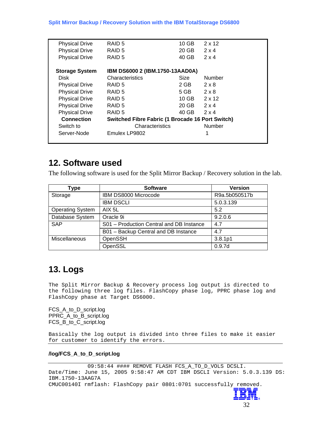<span id="page-31-0"></span>

| <b>Physical Drive</b> | RAID <sub>5</sub>                                       | $10$ GB     | $2 \times 12$ |
|-----------------------|---------------------------------------------------------|-------------|---------------|
| <b>Physical Drive</b> | RAID <sub>5</sub>                                       | 20 GB       | $2 \times 4$  |
| <b>Physical Drive</b> | RAID <sub>5</sub>                                       | 40 GB       | $2 \times 4$  |
|                       |                                                         |             |               |
| <b>Storage System</b> | IBM DS6000 2 (IBM.1750-13AAD0A)                         |             |               |
| <b>Disk</b>           | Characteristics                                         | <b>Size</b> | Number        |
| <b>Physical Drive</b> | RAID <sub>5</sub>                                       | 2 GB        | $2 \times 8$  |
| <b>Physical Drive</b> | RAID <sub>5</sub>                                       | 5 GB        | $2 \times 8$  |
| <b>Physical Drive</b> | RAID <sub>5</sub>                                       | 10 GB       | $2 \times 12$ |
| <b>Physical Drive</b> | RAID <sub>5</sub>                                       | 20 GB       | $2 \times 4$  |
| <b>Physical Drive</b> | RAID <sub>5</sub>                                       | 40 GB       | $2 \times 4$  |
| <b>Connection</b>     | <b>Switched Fibre Fabric (1 Brocade 16 Port Switch)</b> |             |               |
| Switch to             | Characteristics                                         |             | Number        |
| Server-Node           | Emulex LP9802                                           |             | 1             |
|                       |                                                         |             |               |

## **12. Software used**

The following software is used for the Split Mirror Backup / Recovery solution in the lab.

| Type                    | <b>Software</b>                          | <b>Version</b> |
|-------------------------|------------------------------------------|----------------|
| Storage                 | IBM DS8000 Microcode                     | R9a.5b050517b  |
|                         | <b>IBM DSCLI</b>                         | 5.0.3.139      |
| <b>Operating System</b> | AIX 5L                                   | 5.2            |
| Database System         | Oracle 9i                                | 9.2.0.6        |
| <b>SAP</b>              | S01 - Production Central and DB Instance | 4.7            |
|                         | B01 - Backup Central and DB Instance     | 4.7            |
| Miscellaneous           | OpenSSH                                  | 3.8.1p1        |
|                         | OpenSSL                                  | 0.9.7d         |

# **13. Logs**

The Split Mirror Backup & Recovery process log output is directed to the following three log files. FlashCopy phase log, PPRC phase log and FlashCopy phase at Target DS6000.

FCS\_A\_to\_D\_script.log PPRC\_A\_to\_B\_script.log FCS\_B\_to\_C\_script.log

Basically the log output is divided into three files to make it easier for customer to identify the errors.

#### **/log/FCS\_A\_to\_D\_script.log**

09:58:44 #### REMOVE FLASH FCS\_A\_TO\_D\_VOLS DCSLI. Date/Time: June 15, 2005 9:58:47 AM CDT IBM DSCLI Version: 5.0.3.139 DS: IBM.1750-13AAG7A CMUC00140I rmflash: FlashCopy pair 0801:0701 successfully removed.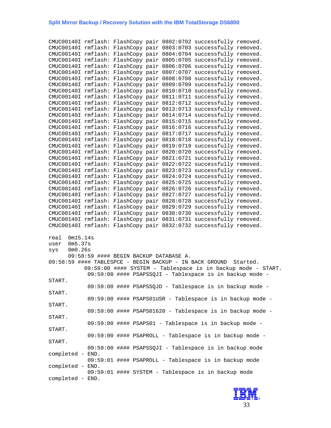#### **Split Mirror Backup / Recovery Solution with the IBM TotalStorage DS6800**

CMUC00140I rmflash: FlashCopy pair 0802:0702 successfully removed. CMUC00140I rmflash: FlashCopy pair 0803:0703 successfully removed. CMUC00140I rmflash: FlashCopy pair 0804:0704 successfully removed. CMUC00140I rmflash: FlashCopy pair 0805:0705 successfully removed. CMUC00140I rmflash: FlashCopy pair 0806:0706 successfully removed. CMUC00140I rmflash: FlashCopy pair 0807:0707 successfully removed. CMUC00140I rmflash: FlashCopy pair 0808:0708 successfully removed. CMUC00140I rmflash: FlashCopy pair 0809:0709 successfully removed. CMUC00140I rmflash: FlashCopy pair 0810:0710 successfully removed. CMUC00140I rmflash: FlashCopy pair 0811:0711 successfully removed. CMUC00140I rmflash: FlashCopy pair 0812:0712 successfully removed. CMUC00140I rmflash: FlashCopy pair 0813:0713 successfully removed. CMUC00140I rmflash: FlashCopy pair 0814:0714 successfully removed. CMUC00140I rmflash: FlashCopy pair 0815:0715 successfully removed. CMUC00140I rmflash: FlashCopy pair 0816:0716 successfully removed. CMUC00140I rmflash: FlashCopy pair 0817:0717 successfully removed. CMUC00140I rmflash: FlashCopy pair 0818:0718 successfully removed. CMUC00140I rmflash: FlashCopy pair 0819:0719 successfully removed. CMUC00140I rmflash: FlashCopy pair 0820:0720 successfully removed. CMUC00140I rmflash: FlashCopy pair 0821:0721 successfully removed. CMUC00140I rmflash: FlashCopy pair 0822:0722 successfully removed. CMUC00140I rmflash: FlashCopy pair 0823:0723 successfully removed. CMUC00140I rmflash: FlashCopy pair 0824:0724 successfully removed. CMUC00140I rmflash: FlashCopy pair 0825:0725 successfully removed. CMUC00140I rmflash: FlashCopy pair 0826:0726 successfully removed. CMUC00140I rmflash: FlashCopy pair 0827:0727 successfully removed. CMUC00140I rmflash: FlashCopy pair 0828:0728 successfully removed. CMUC00140I rmflash: FlashCopy pair 0829:0729 successfully removed. CMUC00140I rmflash: FlashCopy pair 0830:0730 successfully removed. CMUC00140I rmflash: FlashCopy pair 0831:0731 successfully removed. CMUC00140I rmflash: FlashCopy pair 0832:0732 successfully removed. real 0m15.14s user 0m5.37s sys 0m0.26s 09:58:59 #### BEGIN BACKUP DATABASE A. 09:58:59 #### TABLESPCE - BEGIN BACKUP - IN BACK GROUND Started. 09:59:00 #### SYSTEM - Tablespace is in backup mode - START. 09:59:00 #### PSAPSSQJI - Tablespace is in backup mode - START. 09:59:00 #### PSAPSSQJD - Tablespace is in backup mode - START. 09:59:00 #### PSAPS01USR - Tablespace is in backup mode - START. 09:59:00 #### PSAPS01620 - Tablespace is in backup mode - START. 09:59:00 #### PSAPS01 - Tablespace is in backup mode - START. 09:59:00 #### PSAPROLL - Tablespace is in backup mode - START. 09:59:00 #### PSAPSSQJI - Tablespace is in backup mode completed - END. 09:59:01 #### PSAPROLL - Tablespace is in backup mode completed - END. 09:59:01 #### SYSTEM - Tablespace is in backup mode completed - END.

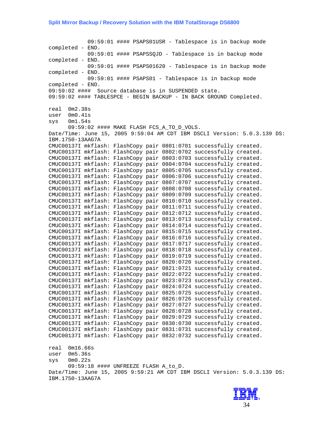09:59:01 #### PSAPS01USR - Tablespace is in backup mode completed - END. 09:59:01 #### PSAPSSQJD - Tablespace is in backup mode completed - END. 09:59:01 #### PSAPS01620 - Tablespace is in backup mode completed - END. 09:59:01 #### PSAPS01 - Tablespace is in backup mode completed - END. 09:59:02 #### Source database is in SUSPENDED state. 09:59:02 #### TABLESPCE - BEGIN BACKUP - IN BACK GROUND Completed. real 0m2.38s user 0m0.41s sys 0m1.54s 09:59:02 #### MAKE FLASH FCS\_A\_TO\_D\_VOLS. Date/Time: June 15, 2005 9:59:04 AM CDT IBM DSCLI Version: 5.0.3.139 DS: IBM.1750-13AAG7A CMUC00137I mkflash: FlashCopy pair 0801:0701 successfully created. CMUC00137I mkflash: FlashCopy pair 0802:0702 successfully created. CMUC00137I mkflash: FlashCopy pair 0803:0703 successfully created. CMUC00137I mkflash: FlashCopy pair 0804:0704 successfully created. CMUC00137I mkflash: FlashCopy pair 0805:0705 successfully created. CMUC00137I mkflash: FlashCopy pair 0806:0706 successfully created. CMUC00137I mkflash: FlashCopy pair 0807:0707 successfully created. CMUC00137I mkflash: FlashCopy pair 0808:0708 successfully created. CMUC00137I mkflash: FlashCopy pair 0809:0709 successfully created. CMUC00137I mkflash: FlashCopy pair 0810:0710 successfully created. CMUC00137I mkflash: FlashCopy pair 0811:0711 successfully created. CMUC00137I mkflash: FlashCopy pair 0812:0712 successfully created. CMUC00137I mkflash: FlashCopy pair 0813:0713 successfully created. CMUC00137I mkflash: FlashCopy pair 0814:0714 successfully created. CMUC00137I mkflash: FlashCopy pair 0815:0715 successfully created. CMUC00137I mkflash: FlashCopy pair 0816:0716 successfully created. CMUC00137I mkflash: FlashCopy pair 0817:0717 successfully created. CMUC00137I mkflash: FlashCopy pair 0818:0718 successfully created. CMUC00137I mkflash: FlashCopy pair 0819:0719 successfully created. CMUC00137I mkflash: FlashCopy pair 0820:0720 successfully created. CMUC00137I mkflash: FlashCopy pair 0821:0721 successfully created. CMUC00137I mkflash: FlashCopy pair 0822:0722 successfully created. CMUC00137I mkflash: FlashCopy pair 0823:0723 successfully created. CMUC00137I mkflash: FlashCopy pair 0824:0724 successfully created. CMUC00137I mkflash: FlashCopy pair 0825:0725 successfully created. CMUC00137I mkflash: FlashCopy pair 0826:0726 successfully created. CMUC00137I mkflash: FlashCopy pair 0827:0727 successfully created. CMUC00137I mkflash: FlashCopy pair 0828:0728 successfully created. CMUC00137I mkflash: FlashCopy pair 0829:0729 successfully created. CMUC00137I mkflash: FlashCopy pair 0830:0730 successfully created. CMUC00137I mkflash: FlashCopy pair 0831:0731 successfully created. CMUC00137I mkflash: FlashCopy pair 0832:0732 successfully created. real 0m16.66s user 0m5.36s sys 0m0.22s 09:59:18 #### UNFREEZE FLASH A\_to\_D. Date/Time: June 15, 2005 9:59:21 AM CDT IBM DSCLI Version: 5.0.3.139 DS: IBM.1750-13AAG7A

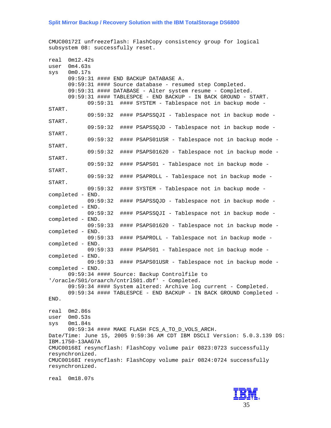### **Split Mirror Backup / Recovery Solution with the IBM TotalStorage DS6800**

CMUC00172I unfreezeflash: FlashCopy consistency group for logical subsystem 08: successfully reset.

| real<br>user | 0m12.42s<br>0m4.63s                                                                                                  |
|--------------|----------------------------------------------------------------------------------------------------------------------|
| sys          | 0 <sub>m0.17s</sub>                                                                                                  |
|              | 09:59:31 #### END BACKUP DATABASE A.                                                                                 |
|              | 09:59:31 #### Source database - resumed step Completed.<br>09:59:31 #### DATABASE - Alter system resume - Completed. |
|              | 09:59:31 #### TABLESPCE - END BACKUP - IN BACK GROUND - START.                                                       |
|              | 09:59:31 #### SYSTEM - Tablespace not in backup mode -                                                               |
| START.       |                                                                                                                      |
| START.       | 09:59:32<br>#### PSAPSSQJI - Tablespace not in backup mode -                                                         |
|              | 09:59:32<br>#### PSAPSSQJD - Tablespace not in backup mode -                                                         |
| START.       | 09:59:32<br>#### PSAPS01USR - Tablespace not in backup mode -                                                        |
| START.       |                                                                                                                      |
|              | 09:59:32<br>#### PSAPS01620 - Tablespace not in backup mode -                                                        |
| START.       |                                                                                                                      |
| START.       | 09:59:32<br>#### PSAPS01 - Tablespace not in backup mode -                                                           |
|              | 09:59:32<br>#### PSAPROLL - Tablespace not in backup mode -                                                          |
| START.       |                                                                                                                      |
|              | 09:59:32<br>#### SYSTEM - Tablespace not in backup mode -                                                            |
|              | completed - END.                                                                                                     |
|              | 09:59:32<br>#### PSAPSSQJD - Tablespace not in backup mode -<br>completed - END.                                     |
|              | 09:59:32<br>#### PSAPSSQJI - Tablespace not in backup mode -                                                         |
|              | completed - END.                                                                                                     |
|              | 09:59:33<br>#### PSAPS01620 - Tablespace not in backup mode -                                                        |
|              | completed - END.                                                                                                     |
|              | 09:59:33<br>#### PSAPROLL - Tablespace not in backup mode -<br>completed - END.                                      |
|              | 09:59:33<br>#### PSAPS01 - Tablespace not in backup mode -                                                           |
|              | completed - END.                                                                                                     |
|              | 09:59:33<br>#### PSAPS01USR - Tablespace not in backup mode -                                                        |
|              | completed - END.                                                                                                     |
|              | 09:59:34 #### Source: Backup Controlfile to<br>'/oracle/S01/oraarch/cntrlS01.dbf' - Completed.                       |
|              | 09:59:34 #### System altered: Archive log current - Completed.                                                       |
|              | 09:59:34 #### TABLESPCE - END BACKUP - IN BACK GROUND Completed -                                                    |
| END.         |                                                                                                                      |
|              | 0m2.86s                                                                                                              |
| real         | user 0m0.53s                                                                                                         |
| SVS          | $0\mathtt{m1.84s}$                                                                                                   |
|              | 09:59:34 #### MAKE FLASH FCS_A_TO_D_VOLS_ARCH.                                                                       |
|              | Date/Time: June 15, 2005 9:59:36 AM CDT IBM DSCLI Version: 5.0.3.139 DS:                                             |
|              | IBM.1750-13AAG7A<br>CMUC00168I resyncflash: FlashCopy volume pair 0823:0723 successfully                             |
|              | resynchronized.                                                                                                      |
|              | CMUC00168I resyncflash: FlashCopy volume pair 0824:0724 successfully                                                 |
|              | resynchronized.                                                                                                      |
|              |                                                                                                                      |



real 0m18.07s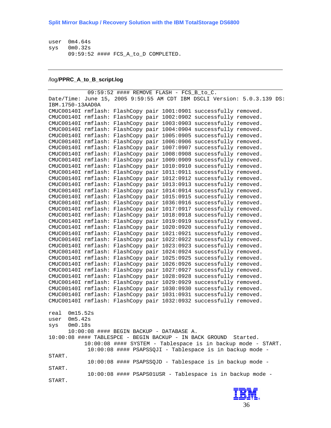user 0m4.64s sys 0m0.32s 09:59:52 #### FCS\_A\_to\_D COMPLETED.

#### /log/**PPRC\_A\_to\_B\_script.log**

```
09:59:52 #### REMOVE FLASH - FCS_B_to_C. 
Date/Time: June 15, 2005 9:59:55 AM CDT IBM DSCLI Version: 5.0.3.139 DS:
IBM.1750-13AAD0A 
CMUC00140I rmflash: FlashCopy pair 1001:0901 successfully removed. 
CMUC00140I rmflash: FlashCopy pair 1002:0902 successfully removed. 
CMUC00140I rmflash: FlashCopy pair 1003:0903 successfully removed. 
CMUC00140I rmflash: FlashCopy pair 1004:0904 successfully removed. 
CMUC00140I rmflash: FlashCopy pair 1005:0905 successfully removed. 
CMUC00140I rmflash: FlashCopy pair 1006:0906 successfully removed. 
CMUC00140I rmflash: FlashCopy pair 1007:0907 successfully removed. 
CMUC00140I rmflash: FlashCopy pair 1008:0908 successfully removed. 
CMUC00140I rmflash: FlashCopy pair 1009:0909 successfully removed. 
CMUC00140I rmflash: FlashCopy pair 1010:0910 successfully removed. 
CMUC00140I rmflash: FlashCopy pair 1011:0911 successfully removed. 
CMUC00140I rmflash: FlashCopy pair 1012:0912 successfully removed. 
CMUC00140I rmflash: FlashCopy pair 1013:0913 successfully removed. 
CMUC00140I rmflash: FlashCopy pair 1014:0914 successfully removed. 
CMUC00140I rmflash: FlashCopy pair 1015:0915 successfully removed. 
CMUC00140I rmflash: FlashCopy pair 1036:0916 successfully removed. 
CMUC00140I rmflash: FlashCopy pair 1017:0917 successfully removed. 
CMUC00140I rmflash: FlashCopy pair 1018:0918 successfully removed. 
CMUC00140I rmflash: FlashCopy pair 1019:0919 successfully removed. 
CMUC00140I rmflash: FlashCopy pair 1020:0920 successfully removed. 
CMUC00140I rmflash: FlashCopy pair 1021:0921 successfully removed. 
CMUC00140I rmflash: FlashCopy pair 1022:0922 successfully removed. 
CMUC00140I rmflash: FlashCopy pair 1023:0923 successfully removed. 
CMUC00140I rmflash: FlashCopy pair 1024:0924 successfully removed. 
CMUC00140I rmflash: FlashCopy pair 1025:0925 successfully removed. 
CMUC00140I rmflash: FlashCopy pair 1026:0926 successfully removed. 
CMUC00140I rmflash: FlashCopy pair 1027:0927 successfully removed. 
CMUC00140I rmflash: FlashCopy pair 1028:0928 successfully removed. 
CMUC00140I rmflash: FlashCopy pair 1029:0929 successfully removed. 
CMUC00140I rmflash: FlashCopy pair 1030:0930 successfully removed. 
CMUC00140I rmflash: FlashCopy pair 1031:0931 successfully removed. 
CMUC00140I rmflash: FlashCopy pair 1032:0932 successfully removed. 
real 0m15.52s 
user 0m5.42s 
sys 0m0.18s 
      10:00:08 #### BEGIN BACKUP - DATABASE A. 
10:00:08 #### TABLESPCE - BEGIN BACKUP - IN BACK GROUND Started. 
           10:00:08 #### SYSTEM - Tablespace is in backup mode - START. 
            10:00:08 #### PSAPSSQJI - Tablespace is in backup mode - 
START. 
            10:00:08 #### PSAPSSQJD - Tablespace is in backup mode - 
START. 
            10:00:08 #### PSAPS01USR - Tablespace is in backup mode - 
START.
```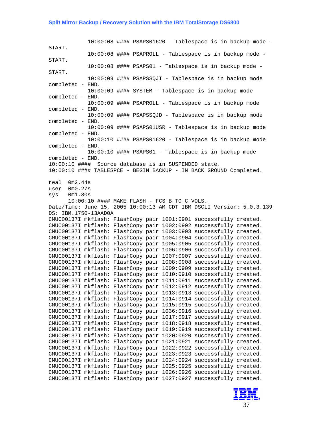#### **Split Mirror Backup / Recovery Solution with the IBM TotalStorage DS6800**

 $10:00:08$  #### PSAPS01620 - Tablespace is in backup mode -START. 10:00:08 #### PSAPROLL - Tablespace is in backup mode - START. 10:00:08 #### PSAPS01 - Tablespace is in backup mode - START. 10:00:09 #### PSAPSSQJI - Tablespace is in backup mode completed - END. 10:00:09 #### SYSTEM - Tablespace is in backup mode completed - END. 10:00:09 #### PSAPROLL - Tablespace is in backup mode completed - END. 10:00:09 #### PSAPSSQJD - Tablespace is in backup mode completed - END. 10:00:09 #### PSAPS01USR - Tablespace is in backup mode completed - END. 10:00:10 #### PSAPS01620 - Tablespace is in backup mode completed - END. 10:00:10 #### PSAPS01 - Tablespace is in backup mode completed - END. 10:00:10 #### Source database is in SUSPENDED state. 10:00:10 #### TABLESPCE - BEGIN BACKUP - IN BACK GROUND Completed. real 0m2.44s user 0m0.27s sys 0m1.80s 10:00:10 #### MAKE FLASH - FCS\_B\_TO\_C\_VOLS. Date/Time: June 15, 2005 10:00:13 AM CDT IBM DSCLI Version: 5.0.3.139 DS: IBM.1750-13AAD0A CMUC00137I mkflash: FlashCopy pair 1001:0901 successfully created. CMUC00137I mkflash: FlashCopy pair 1002:0902 successfully created. CMUC00137I mkflash: FlashCopy pair 1003:0903 successfully created. CMUC00137I mkflash: FlashCopy pair 1004:0904 successfully created. CMUC00137I mkflash: FlashCopy pair 1005:0905 successfully created. CMUC00137I mkflash: FlashCopy pair 1006:0906 successfully created. CMUC00137I mkflash: FlashCopy pair 1007:0907 successfully created. CMUC00137I mkflash: FlashCopy pair 1008:0908 successfully created. CMUC00137I mkflash: FlashCopy pair 1009:0909 successfully created. CMUC00137I mkflash: FlashCopy pair 1010:0910 successfully created. CMUC00137I mkflash: FlashCopy pair 1011:0911 successfully created. CMUC00137I mkflash: FlashCopy pair 1012:0912 successfully created. CMUC00137I mkflash: FlashCopy pair 1013:0913 successfully created. CMUC00137I mkflash: FlashCopy pair 1014:0914 successfully created. CMUC00137I mkflash: FlashCopy pair 1015:0915 successfully created. CMUC00137I mkflash: FlashCopy pair 1036:0916 successfully created. CMUC00137I mkflash: FlashCopy pair 1017:0917 successfully created. CMUC00137I mkflash: FlashCopy pair 1018:0918 successfully created. CMUC00137I mkflash: FlashCopy pair 1019:0919 successfully created. CMUC00137I mkflash: FlashCopy pair 1020:0920 successfully created. CMUC00137I mkflash: FlashCopy pair 1021:0921 successfully created. CMUC00137I mkflash: FlashCopy pair 1022:0922 successfully created. CMUC00137I mkflash: FlashCopy pair 1023:0923 successfully created. CMUC00137I mkflash: FlashCopy pair 1024:0924 successfully created. CMUC00137I mkflash: FlashCopy pair 1025:0925 successfully created. CMUC00137I mkflash: FlashCopy pair 1026:0926 successfully created. CMUC00137I mkflash: FlashCopy pair 1027:0927 successfully created.

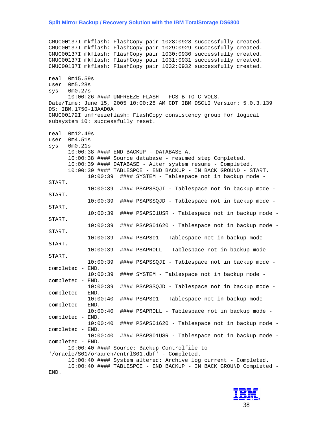#### **Split Mirror Backup / Recovery Solution with the IBM TotalStorage DS6800**

CMUC00137I mkflash: FlashCopy pair 1028:0928 successfully created. CMUC00137I mkflash: FlashCopy pair 1029:0929 successfully created. CMUC00137I mkflash: FlashCopy pair 1030:0930 successfully created. CMUC00137I mkflash: FlashCopy pair 1031:0931 successfully created. CMUC00137I mkflash: FlashCopy pair 1032:0932 successfully created. real 0m15.59s user 0m5.28s sys 0m0.27s 10:00:26 #### UNFREEZE FLASH - FCS\_B\_TO\_C\_VOLS. Date/Time: June 15, 2005 10:00:28 AM CDT IBM DSCLI Version: 5.0.3.139 DS: IBM.1750-13AAD0A CMUC00172I unfreezeflash: FlashCopy consistency group for logical subsystem 10: successfully reset. real 0m12.49s user 0m4.51s sys 0m0.21s 10:00:38 #### END BACKUP - DATABASE A. 10:00:38 #### Source database - resumed step Completed. 10:00:39 #### DATABASE - Alter system resume - Completed. 10:00:39 #### TABLESPCE - END BACKUP - IN BACK GROUND - START. 10:00:39 #### SYSTEM - Tablespace not in backup mode - START. 10:00:39 #### PSAPSSQJI - Tablespace not in backup mode - START. 10:00:39 #### PSAPSSQJD - Tablespace not in backup mode - START. 10:00:39 #### PSAPS01USR - Tablespace not in backup mode - START. 10:00:39 #### PSAPS01620 - Tablespace not in backup mode - START. 10:00:39 #### PSAPS01 - Tablespace not in backup mode - START. 10:00:39 #### PSAPROLL - Tablespace not in backup mode - START. 10:00:39 #### PSAPSSQJI - Tablespace not in backup mode completed - END. 10:00:39 #### SYSTEM - Tablespace not in backup mode completed - END. 10:00:39 #### PSAPSSQJD - Tablespace not in backup mode completed - END. 10:00:40 #### PSAPS01 - Tablespace not in backup mode completed - END. 10:00:40 #### PSAPROLL - Tablespace not in backup mode completed - END. 10:00:40 #### PSAPS01620 - Tablespace not in backup mode completed - END. 10:00:40 #### PSAPS01USR - Tablespace not in backup mode completed - END. 10:00:40 #### Source: Backup Controlfile to '/oracle/S01/oraarch/cntrlS01.dbf' - Completed. 10:00:40 #### System altered: Archive log current - Completed. 10:00:40 #### TABLESPCE - END BACKUP - IN BACK GROUND Completed - END.

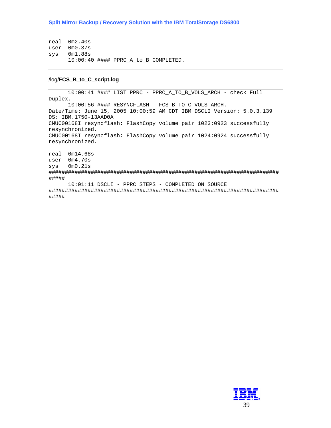real 0m2.40s user 0m0.37s sys 0m1.88s 10:00:40 #### PPRC\_A\_to\_B COMPLETED.

#### /log/**FCS\_B\_to\_C\_script.log**

10:00:41 #### LIST PPRC - PPRC\_A\_TO\_B\_VOLS\_ARCH - check Full Duplex. 10:00:56 #### RESYNCFLASH - FCS\_B\_TO\_C\_VOLS\_ARCH. Date/Time: June 15, 2005 10:00:59 AM CDT IBM DSCLI Version: 5.0.3.139 DS: IBM.1750-13AAD0A CMUC00168I resyncflash: FlashCopy volume pair 1023:0923 successfully resynchronized. CMUC00168I resyncflash: FlashCopy volume pair 1024:0924 successfully resynchronized. real 0m14.68s user 0m4.70s sys 0m0.21s ####################################################################### ##### 10:01:11 DSCLI - PPRC STEPS - COMPLETED ON SOURCE ####################################################################### #####